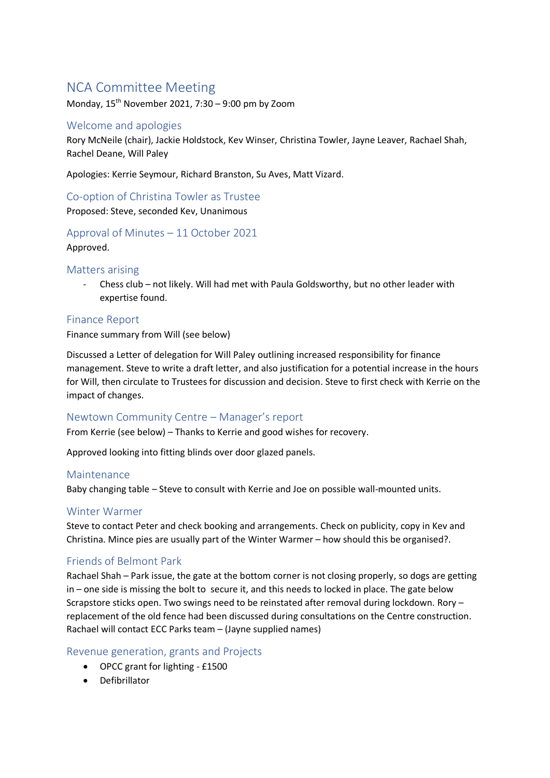# NCA Committee Meeting

Monday,  $15^{th}$  November 2021, 7:30 – 9:00 pm by Zoom

# Welcome and apologies

Rory McNeile (chair), Jackie Holdstock, Kev Winser, Christina Towler, Jayne Leaver, Rachael Shah, Rachel Deane, Will Paley

Apologies: Kerrie Seymour, Richard Branston, Su Aves, Matt Vizard.

Co-option of Christina Towler as Trustee Proposed: Steve, seconded Kev, Unanimous

# Approval of Minutes – 11 October 2021 Approved.

#### Matters arising

- Chess club – not likely. Will had met with Paula Goldsworthy, but no other leader with expertise found.

#### Finance Report

Finance summary from Will (see below)

Discussed a Letter of delegation for Will Paley outlining increased responsibility for finance management. Steve to write a draft letter, and also justification for a potential increase in the hours for Will, then circulate to Trustees for discussion and decision. Steve to first check with Kerrie on the impact of changes.

### Newtown Community Centre – Manager's report

From Kerrie (see below) – Thanks to Kerrie and good wishes for recovery.

Approved looking into fitting blinds over door glazed panels.

#### Maintenance

Baby changing table – Steve to consult with Kerrie and Joe on possible wall-mounted units.

#### Winter Warmer

Steve to contact Peter and check booking and arrangements. Check on publicity, copy in Kev and Christina. Mince pies are usually part of the Winter Warmer – how should this be organised?.

### Friends of Belmont Park

Rachael Shah – Park issue, the gate at the bottom corner is not closing properly, so dogs are getting in – one side is missing the bolt to secure it, and this needs to locked in place. The gate below Scrapstore sticks open. Two swings need to be reinstated after removal during lockdown. Rory – replacement of the old fence had been discussed during consultations on the Centre construction. Rachael will contact ECC Parks team – (Jayne supplied names)

# Revenue generation, grants and Projects

- OPCC grant for lighting £1500
- Defibrillator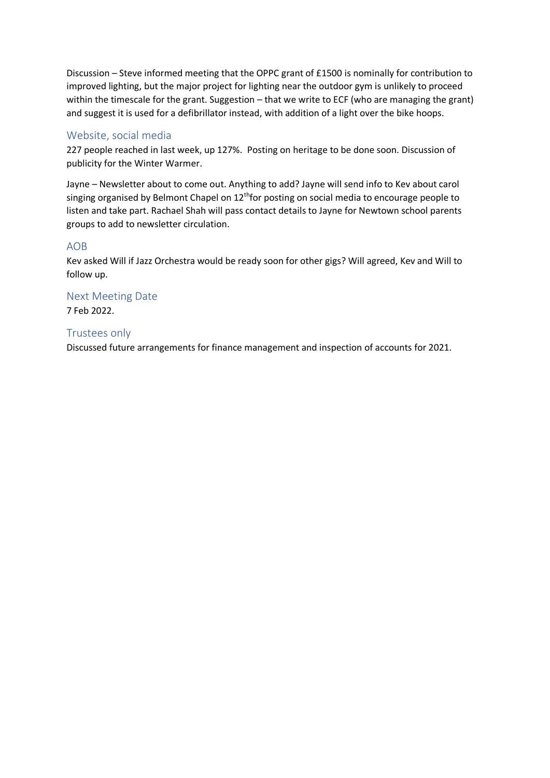Discussion – Steve informed meeting that the OPPC grant of £1500 is nominally for contribution to improved lighting, but the major project for lighting near the outdoor gym is unlikely to proceed within the timescale for the grant. Suggestion – that we write to ECF (who are managing the grant) and suggest it is used for a defibrillator instead, with addition of a light over the bike hoops.

# Website, social media

227 people reached in last week, up 127%. Posting on heritage to be done soon. Discussion of publicity for the Winter Warmer.

Jayne – Newsletter about to come out. Anything to add? Jayne will send info to Kev about carol singing organised by Belmont Chapel on  $12<sup>th</sup>$  for posting on social media to encourage people to listen and take part. Rachael Shah will pass contact details to Jayne for Newtown school parents groups to add to newsletter circulation.

### AOB

Kev asked Will if Jazz Orchestra would be ready soon for other gigs? Will agreed, Kev and Will to follow up.

Next Meeting Date 7 Feb 2022.

# Trustees only

Discussed future arrangements for finance management and inspection of accounts for 2021.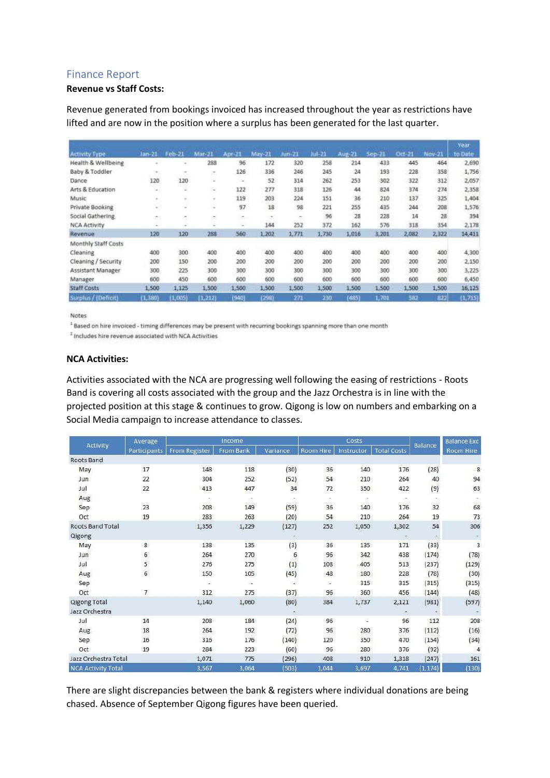### Finance Report

#### **Revenue vs Staff Costs:**

Revenue generated from bookings invoiced has increased throughout the year as restrictions have lifted and are now in the position where a surplus has been generated for the last quarter.

|                      |               | Feb-21                                      | $Mar-21$ | Apr-21 | May-21 | $lim-21$ | $1 + 21$ | Aug-21 | $Sen-21$ | Oct-21 | Nov-21 | Year<br>to Date |
|----------------------|---------------|---------------------------------------------|----------|--------|--------|----------|----------|--------|----------|--------|--------|-----------------|
| <b>Activity Type</b> | lan-21        |                                             |          |        |        |          |          |        |          |        |        |                 |
| Health & Wellbeing   |               |                                             | 288      | 96     | 172    | 320      | 258      | 214    | 433      | 445    | 464    | 2,690           |
| Baby & Toddler       |               | $\sim$                                      | ×.       | 126    | 336    | 246      | 245      | 24     | 193      | 228    | 358    | 1,756           |
| Dance                | 120           | 120                                         | ×        | c.     | 52     | 314      | 262      | 253    | 302      | 322    | 312    | 2,057           |
| Arts & Education     | $\rightarrow$ | ×                                           | $\omega$ | 122    | 277    | 318      | 126      | 44     | 824      | 374    | 274    | 2,358           |
| Music                | $\sim$        | $\sim$                                      | $\sim$   | 119    | 203    | 224      | 151      | 36     | 210      | 137    | 325    | 1,404           |
| Private Booking      | c             | ÷                                           | ×        | 97     | 18     | 98       | 221      | 255    | 435      | 244    | 208    | 1,576           |
| Social Gathering     | ż3            | $\hspace{1.5cm} \rightarrow \hspace{1.5cm}$ | ×        | ٠      | $\pm$  | $\sim$   | 96       | 28     | 228      | 14     | 28     | 394             |
| <b>NCA Activity</b>  | c             |                                             | -        | ×.     | 144    | 252      | 372      | 162    | 576      | 318    | 354    | 2,178           |
| Revenue              | 120           | 120                                         | 288      | 560    | 1,202  | 1,771    | 1,730    | 1,016  | 3,201    | 2,082  | 2,322  | 14,411          |
| Monthly Staff Costs  |               |                                             |          |        |        |          |          |        |          |        |        |                 |
| Cleaning             | 400           | <b>CARDON</b><br>300                        | 400      | 400    | 400    | 400      | 400      | 400    | 400      | 400    | 400    | 4,300           |
| Cleaning / Security  | 200           | 150                                         | 200      | 200    | 200    | 200      | 200      | 200    | 200      | 200    | 200    | 2,150           |
| Assistant Manager    | 300           | 225                                         | 300      | 300    | 300    | 300      | 300      | 300    | 300      | 300    | 300    | 3,225           |
| Manager              | 600           | 450                                         | 600      | 600    | 600    | 600      | 600      | 600    | 600      | 600    | 600    | 6,450           |
| <b>Staff Costs</b>   | 1,500         | 1,125                                       | 1,500    | 1,500  | 1,500  | 1,500    | 1,500    | 1,500  | 1,500    | 1,500  | 1,500  | 16,125          |
| Surplus / (Deficit)  | (1,380)       | 1,005                                       | (1, 212) | (940)  | (298)  | 271      | 290      | (485)  | 1,701    | 582    | 822    | (1.715)         |

Notes

<sup>1</sup> Based on hire invoiced - timing differences may be present with recurring bookings spanning more than one month

<sup>2</sup> Includes hire revenue associated with NCA Activities

#### **NCA Activities:**

Activities associated with the NCA are progressing well following the easing of restrictions - Roots Band is covering all costs associated with the group and the Jazz Orchestra is in line with the projected position at this stage & continues to grow. Qigong is low on numbers and embarking on a Social Media campaign to increase attendance to classes.

| Activity                  | Average<br><b>Participants</b> |                          | Income    |          | Costs                    |            | <b>Balance Exc</b> |         |           |
|---------------------------|--------------------------------|--------------------------|-----------|----------|--------------------------|------------|--------------------|---------|-----------|
|                           |                                | <b>From Register</b>     | From Bank | Variance | Room Hire                | Instructor | <b>Total Costs</b> | Balance | Room Hire |
| Roots Band                |                                |                          |           |          |                          |            |                    |         |           |
| May                       | 17                             | 148                      | 118       | (30)     | 36                       | 140        | 176                | (28)    | -8        |
| Jun                       | 22                             | 304                      | 252       | (52)     | 54                       | 210        | 264                | 40      | 94        |
| Jul                       | 22                             | 413                      | 447       | 34       | 72                       | 350        | 422                | (9)     | 63        |
| Aug                       |                                | C.                       | 17        |          | т                        | - 1        | 636                | ÷.      | ٠         |
| Sep                       | 出会<br>23                       | 208                      | 149       | (59)     | 36                       | 140        | 176                | 32      | 68        |
| Oct                       | 19                             | 283                      | 263       | (20)     | 54                       | 210        | 264                | 19      | 73        |
| Roots Band Total          |                                | 1,356                    | 1,229     | (127)    | 252                      | 1,050      | 1,302              | 54      | 306       |
| Qigong                    |                                |                          |           |          |                          |            | ÷,                 | ÷       |           |
| May                       | 8                              | 138                      | 135       | (3)      | 36                       | 135        | 171                | (33)    | 3         |
| Jun                       | 6                              | 264                      | 270       | 6        | 96                       | 342        | 438                | (174)   | (78)      |
| Jul                       | 5                              | 276                      | 275       | (1)      | 108                      | 405        | 513                | (237)   | (129)     |
| Aug                       | $\sqrt{6}$                     | 150                      | 105       | (45)     | 48                       | 180        | 228                | (78)    | (30)      |
| Sep                       |                                | $\overline{\phantom{a}}$ | $\sim$    | ×,       | $\overline{\phantom{a}}$ | 315        | 315                | (315)   | (315)     |
| Oct                       | $\overline{7}$                 | 312                      | 275       | (37)     | 96                       | 360        | 456                | (144)   | (48)      |
| <b>Qigong Total</b>       |                                | 1,140                    | 1,060     | (80)     | 384                      | 1,737      | 2,121              | (981)   | (597)     |
| Jazz Orchestra            |                                |                          |           |          |                          |            |                    |         |           |
| Jul                       | 14                             | 208                      | 184       | (24)     | 96                       | ÷          | 96                 | 112     | 208       |
| Aug                       | 18                             | 264                      | 192       | (72)     | 96                       | 280        | 376                | (112)   | (16)      |
| Sep                       | 16                             | 316                      | 176       | (140)    | 120                      | 350        | 470                | (154)   | (34)      |
| Oct                       | 19                             | 284                      | 223       | (60)     | 96                       | 280        | 376                | (92)    | 4         |
| Jazz Orchestra Total      |                                | 1,071                    | 775       | (296)    | 408                      | 910        | 1,318              | (247)   | 161       |
| <b>NCA Activity Total</b> |                                | 3,567                    | 3,064     | (503)    | 1.044                    | 3,697      | 4,741              | (1.174) | (130)     |

There are slight discrepancies between the bank & registers where individual donations are being chased. Absence of September Qigong figures have been queried.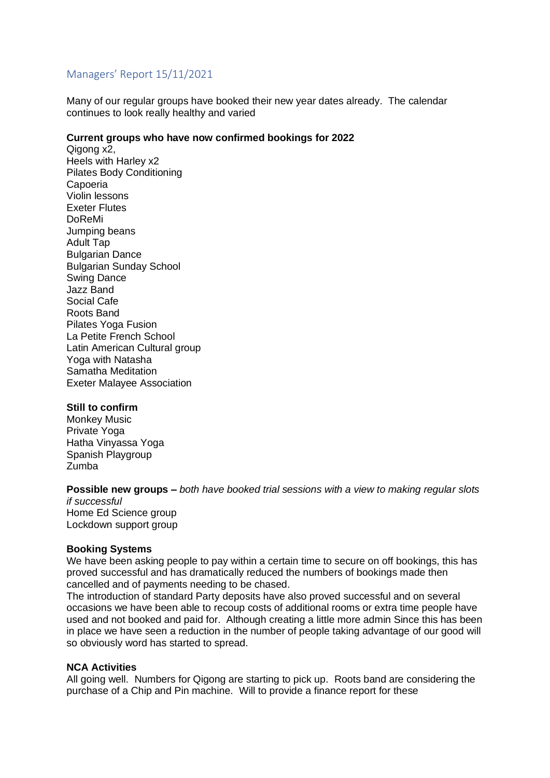# Managers' Report 15/11/2021

Many of our regular groups have booked their new year dates already. The calendar continues to look really healthy and varied

#### **Current groups who have now confirmed bookings for 2022**

Qigong x2, Heels with Harley x2 Pilates Body Conditioning Capoeria Violin lessons Exeter Flutes DoReMi Jumping beans Adult Tap Bulgarian Dance Bulgarian Sunday School Swing Dance Jazz Band Social Cafe Roots Band Pilates Yoga Fusion La Petite French School Latin American Cultural group Yoga with Natasha Samatha Meditation Exeter Malayee Association

#### **Still to confirm**

Monkey Music Private Yoga Hatha Vinyassa Yoga Spanish Playgroup Zumba

### **Possible new groups –** *both have booked trial sessions with a view to making regular slots*

*if successful* Home Ed Science group Lockdown support group

#### **Booking Systems**

We have been asking people to pay within a certain time to secure on off bookings, this has proved successful and has dramatically reduced the numbers of bookings made then cancelled and of payments needing to be chased.

The introduction of standard Party deposits have also proved successful and on several occasions we have been able to recoup costs of additional rooms or extra time people have used and not booked and paid for. Although creating a little more admin Since this has been in place we have seen a reduction in the number of people taking advantage of our good will so obviously word has started to spread.

#### **NCA Activities**

All going well. Numbers for Qigong are starting to pick up. Roots band are considering the purchase of a Chip and Pin machine. Will to provide a finance report for these